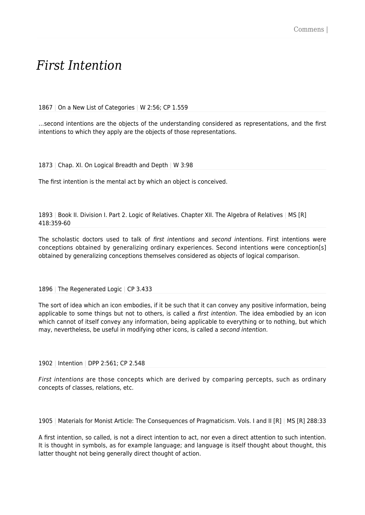## *First Intention*

1867 | On a New List of Categories | W 2:56; CP 1.559

…second intentions are the objects of the understanding considered as representations, and the first intentions to which they apply are the objects of those representations.

1873 | Chap. XI. On Logical Breadth and Depth | W 3:98

The first intention is the mental act by which an object is conceived.

1893 | Book II. Division I. Part 2. Logic of Relatives. Chapter XII. The Algebra of Relatives | MS [R] 418:359-60

The scholastic doctors used to talk of first intentions and second intentions. First intentions were conceptions obtained by generalizing ordinary experiences. Second intentions were conception[s] obtained by generalizing conceptions themselves considered as objects of logical comparison.

1896 | The Regenerated Logic | CP 3.433

The sort of idea which an icon embodies, if it be such that it can convey any positive information, being applicable to some things but not to others, is called a first intention. The idea embodied by an icon which cannot of itself convey any information, being applicable to everything or to nothing, but which may, nevertheless, be useful in modifying other icons, is called a second intention.

## 1902 | Intention | DPP 2:561; CP 2.548

First intentions are those concepts which are derived by comparing percepts, such as ordinary concepts of classes, relations, etc.

## 1905 | Materials for Monist Article: The Consequences of Pragmaticism. Vols. I and II [R] | MS [R] 288:33

A first intention, so called, is not a direct intention to act, nor even a direct attention to such intention. It is thought in symbols, as for example language; and language is itself thought about thought, this latter thought not being generally direct thought of action.